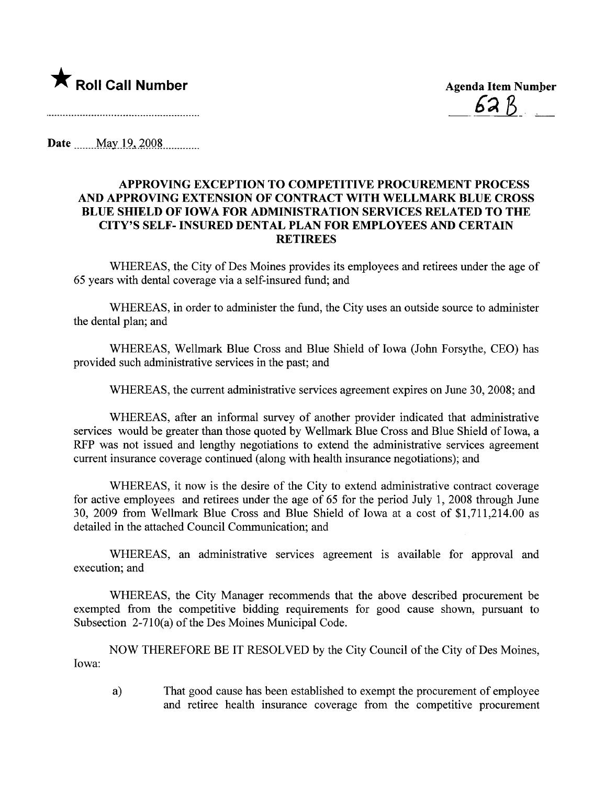

62 R

**Date** May 19, 2008

## APPROVING EXCEPTION TO COMPETITIVE PROCUREMENT PROCESS AND APPROVING EXTENSION OF CONTRACT WITH WELLMARK BLUE CROSS BLUE SHIELD OF IOWA FOR ADMINISTRATION SERVICES RELATED TO THE CITY'S SELF-INSURED DENTAL PLAN FOR EMPLOYEES AND CERTAIN RETIREES

WHEREAS, the City of Des Moines provides its employees and retirees under the age of 65 years with dental coverage via a self-insured fund; and

WHEREAS, in order to administer the fund, the City uses an outside source to administer the dental plan; and

WHEREAS, Wellmark Blue Cross and Blue Shield of Iowa (John Forsythe, CEO) has provided such administrative services in the past; and

WHEREAS, the current administrative services agreement expires on June 30, 2008; and

WHEREAS, after an informal survey of another provider indicated that administrative services would be greater than those quoted by Wellmark Blue Cross and Blue Shield of Iowa, a RFP was not issued and lengthy negotiations to extend the administrative services agreement current insurance coverage continued (along with health insurance negotiations); and

WHEREAS, it now is the desire of the City to extend administrative contract coverage for active employees and retirees under the age of 65 for the period July 1, 2008 through June 30, 2009 from Wellmark Blue Cross and Blue Shield of Iowa at a cost of \$1,711,214.00 as detailed in the attached Council Communication; and

WHEREAS, an administrative services agreement is available for approval and execution; and

WHEREAS, the City Manager recommends that the above described procurement be exempted from the competitive bidding requirements for good cause shown, pursuant to Subsection 2-710(a) of the Des Moines Municipal Code.

NOW THEREFORE BE IT RESOLVED by the City Council of the City of Des Moines, Iowa:

a) That good cause has been established to exempt the procurement of employee and retiree health insurance coverage from the competitive procurement